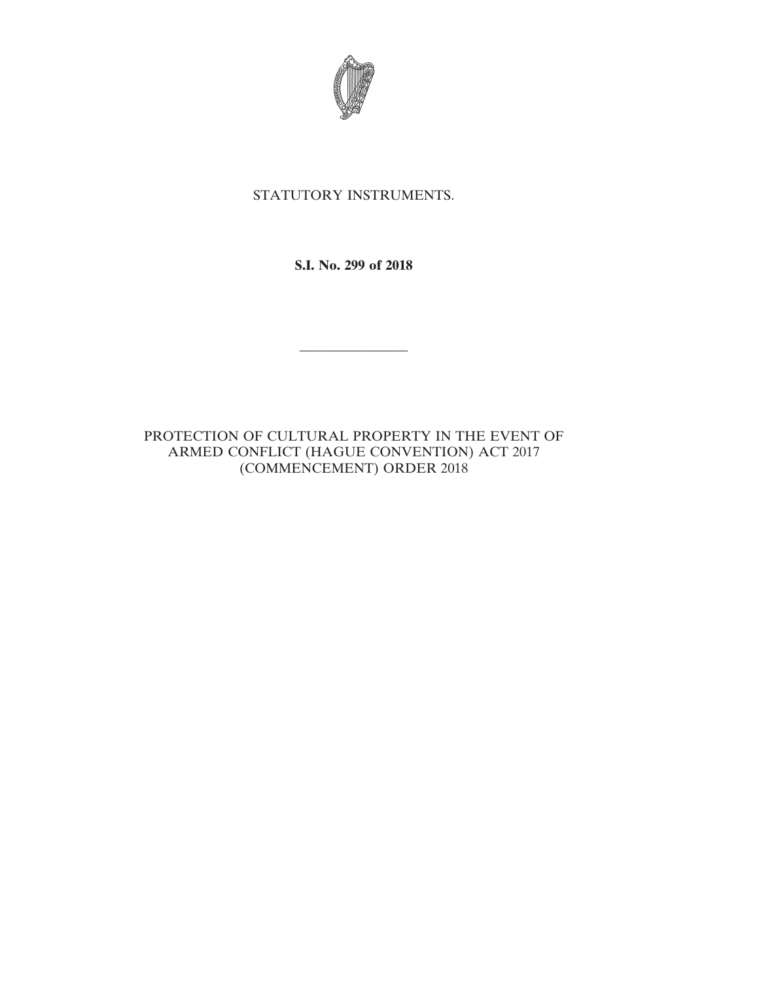

## STATUTORY INSTRUMENTS.

**S.I. No. 299 of 2018**

————————

PROTECTION OF CULTURAL PROPERTY IN THE EVENT OF ARMED CONFLICT (HAGUE CONVENTION) ACT 2017 (COMMENCEMENT) ORDER 2018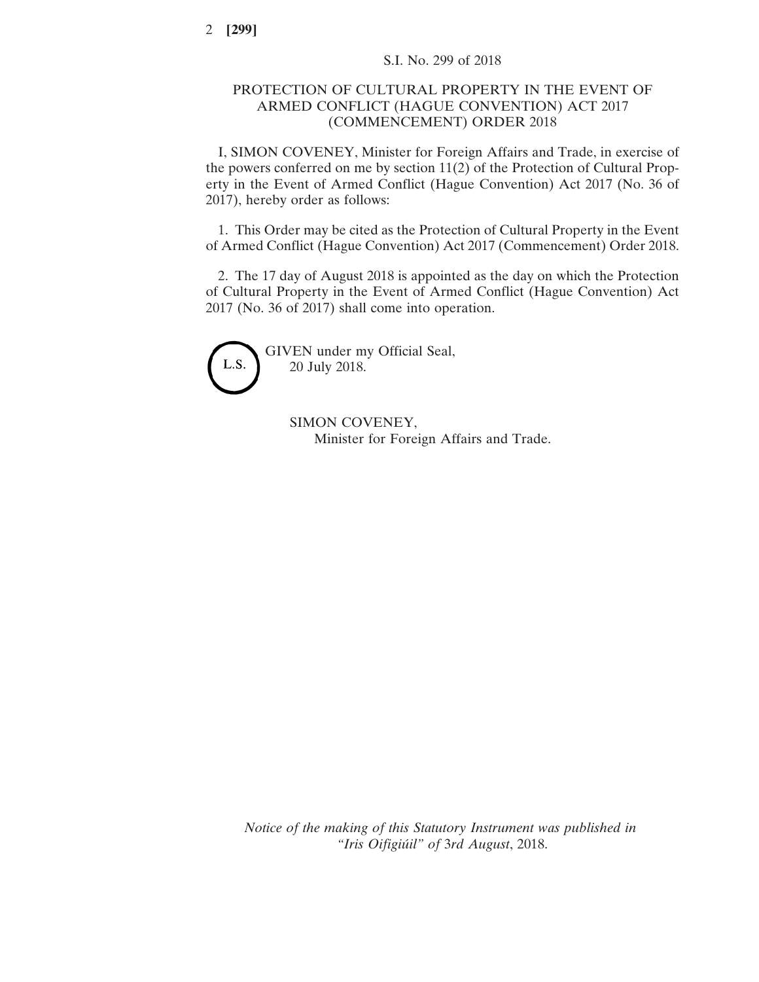## PROTECTION OF CULTURAL PROPERTY IN THE EVENT OF ARMED CONFLICT (HAGUE CONVENTION) ACT 2017 (COMMENCEMENT) ORDER 2018

I, SIMON COVENEY, Minister for Foreign Affairs and Trade, in exercise of the powers conferred on me by section 11(2) of the Protection of Cultural Property in the Event of Armed Conflict (Hague Convention) Act 2017 (No. 36 of 2017), hereby order as follows:

1. This Order may be cited as the Protection of Cultural Property in the Event of Armed Conflict (Hague Convention) Act 2017 (Commencement) Order 2018.

2. The 17 day of August 2018 is appointed as the day on which the Protection of Cultural Property in the Event of Armed Conflict (Hague Convention) Act 2017 (No. 36 of 2017) shall come into operation.



GIVEN under my Official Seal, 20 July 2018.

> SIMON COVENEY, Minister for Foreign Affairs and Trade.

*Notice of the making of this Statutory Instrument was published in "Iris Oifigiúil" of* 3*rd August*, 2018.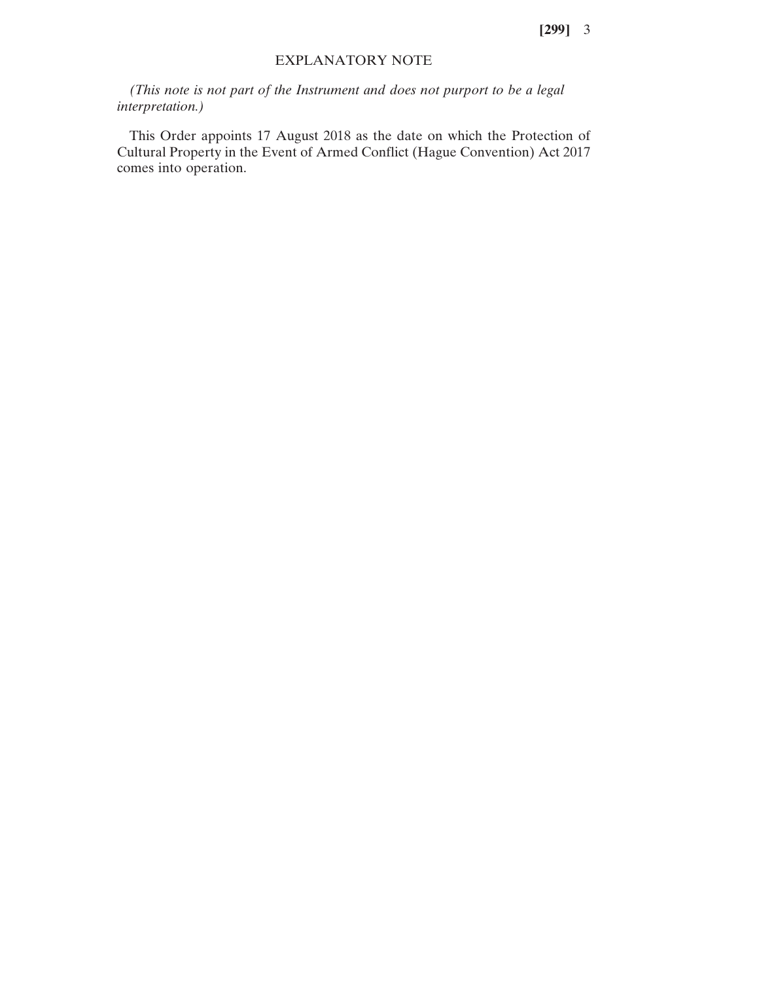**[299]** 3

## EXPLANATORY NOTE

*(This note is not part of the Instrument and does not purport to be a legal interpretation.)*

This Order appoints 17 August 2018 as the date on which the Protection of Cultural Property in the Event of Armed Conflict (Hague Convention) Act 2017 comes into operation.